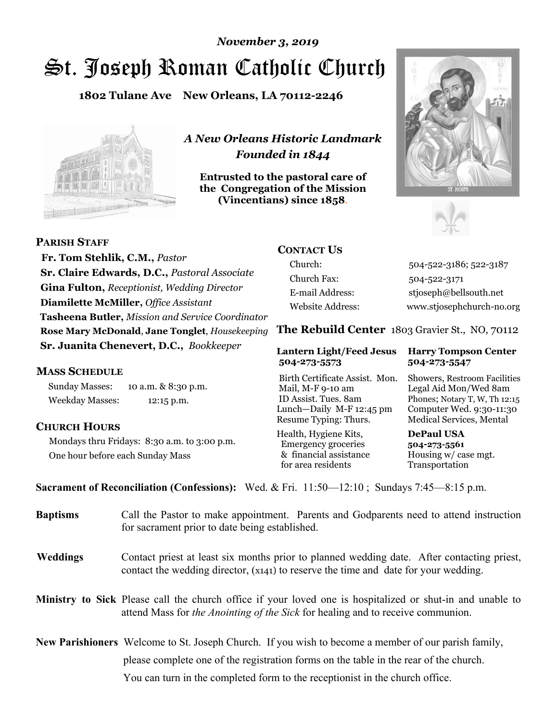# St. Joseph Roman Catholic Church *November 3, 2019*

**1802 Tulane Ave New Orleans, LA 70112-2246**



*A New Orleans Historic Landmark Founded in 1844* 

**Entrusted to the pastoral care of the Congregation of the Mission (Vincentians) since 1858**.





 **Fr. Tom Stehlik, C.M.,** *Pastor* **Sr. Claire Edwards, D.C.,** *Pastoral Associate* **Gina Fulton,** *Receptionist, Wedding Director* **Diamilette McMiller,** *Office Assistant* **Tasheena Butler,** *Mission and Service Coordinator* **Rose Mary McDonald**, **Jane Tonglet**, *Housekeeping* **Sr. Juanita Chenevert, D.C.,** *Bookkeeper* 

### **MASS SCHEDULE**

**PARISH STAFF**

Sunday Masses: 10 a.m. & 8:30 p.m. Weekday Masses: 12:15 p.m.

### **CHURCH HOURS**

Mondays thru Fridays: 8:30 a.m. to 3:00 p.m. One hour before each Sunday Mass

# **CONTACT US**

Church: 504-522-3186; 522-3187 Church Fax: 504-522-3171 E-mail Address: stjoseph@bellsouth.net Website Address: www.stjosephchurch-no.org

**The Rebuild Center** 1803 Gravier St., NO, 70112

#### **Lantern Light/Feed Jesus Harry Tompson Center 504-273-5573 504-273-5547**

Birth Certificate Assist. Mon. Showers, Restroom Facilities Mail, M-F 9-10 am Legal Aid Mon/Wed 8am ID Assist. Tues. 8am Phones; Notary T, W, Th 12:15 Lunch—Daily M-F 12:45 pm Computer Wed. 9:30-11:30 Resume Typing: Thurs. Medical Services, Mental

Health, Hygiene Kits, **DePaul USA**  Emergency groceries **504-273-5561** & financial assistance Housing w/ case mgt.<br>for area residents Transportation for area residents

**Sacrament of Reconciliation (Confessions):** Wed. & Fri. 11:50—12:10 ; Sundays 7:45—8:15 p.m.

| <b>Baptisms</b> | Call the Pastor to make appointment. Parents and Godparents need to attend instruction<br>for sacrament prior to date being established.                                                            |  |
|-----------------|-----------------------------------------------------------------------------------------------------------------------------------------------------------------------------------------------------|--|
| <b>Weddings</b> | Contact priest at least six months prior to planned wedding date. After contacting priest,<br>contact the wedding director, (x141) to reserve the time and date for your wedding.                   |  |
|                 | <b>Ministry to Sick</b> Please call the church office if your loved one is hospitalized or shut-in and unable to<br>attend Mass for the Anointing of the Sick for healing and to receive communion. |  |
|                 | <b>New Parishioners</b> Welcome to St. Joseph Church. If you wish to become a member of our parish family,                                                                                          |  |
|                 | please complete one of the registration forms on the table in the rear of the church.                                                                                                               |  |
|                 | You can turn in the completed form to the reception is the church office.                                                                                                                           |  |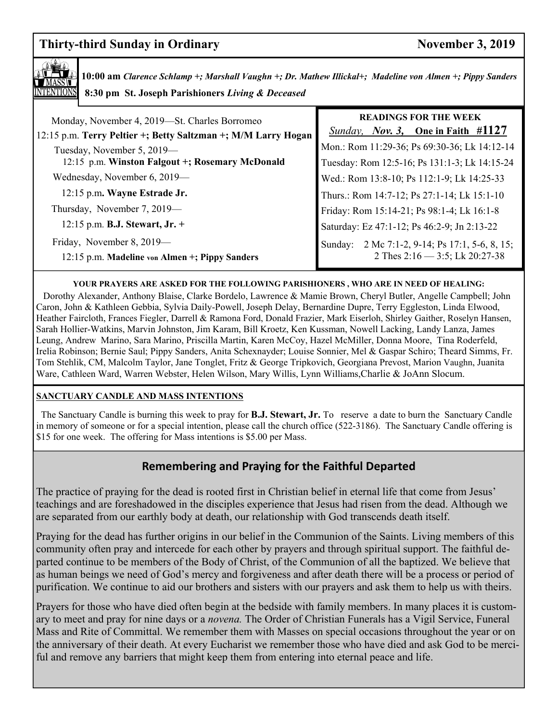# **Thirty-third Sunday in Ordinary November 3, 2019**



**10:00 am** *Clarence Schlamp +; Marshall Vaughn +; Dr. Mathew Illickal+; Madeline von Almen +; Pippy Sanders*   **8:30 pm St. Joseph Parishioners** *Living & Deceased* 

| Monday, November 4, 2019—St. Charles Borromeo<br>12:15 p.m. Terry Peltier +; Betty Saltzman +; M/M Larry Hogan<br>Tuesday, November 5, 2019—<br>12:15 p.m. Winston Falgout +; Rosemary McDonald | <b>READINGS FOR THE WEEK</b><br><i>Sunday, Nov. 3,</i> One in Faith #1127<br>Mon.: Rom 11:29-36; Ps 69:30-36; Lk 14:12-14<br>Tuesday: Rom 12:5-16; Ps 131:1-3; Lk 14:15-24 |
|-------------------------------------------------------------------------------------------------------------------------------------------------------------------------------------------------|----------------------------------------------------------------------------------------------------------------------------------------------------------------------------|
| Wednesday, November 6, 2019—                                                                                                                                                                    | Wed.: Rom 13:8-10; Ps 112:1-9; Lk 14:25-33                                                                                                                                 |
| 12:15 p.m. Wayne Estrade Jr.                                                                                                                                                                    | Thurs.: Rom 14:7-12; Ps 27:1-14; Lk 15:1-10                                                                                                                                |
| Thursday, November 7, 2019—                                                                                                                                                                     | Friday: Rom 15:14-21; Ps 98:1-4; Lk 16:1-8                                                                                                                                 |
| 12:15 p.m. B.J. Stewart, Jr. +                                                                                                                                                                  | Saturday: Ez 47:1-12; Ps 46:2-9; Jn 2:13-22                                                                                                                                |
| Friday, November 8, 2019—<br>12:15 p.m. Madeline von Almen +; Pippy Sanders                                                                                                                     | Sunday: 2 Mc 7:1-2, 9-14; Ps 17:1, 5-6, 8, 15;<br>2 Thes $2:16 - 3:5$ ; Lk $20:27-38$                                                                                      |

#### **YOUR PRAYERS ARE ASKED FOR THE FOLLOWING PARISHIONERS , WHO ARE IN NEED OF HEALING:**

 Dorothy Alexander, Anthony Blaise, Clarke Bordelo, Lawrence & Mamie Brown, Cheryl Butler, Angelle Campbell; John Caron, John & Kathleen Gebbia, Sylvia Daily-Powell, Joseph Delay, Bernardine Dupre, Terry Eggleston, Linda Elwood, Heather Faircloth, Frances Fiegler, Darrell & Ramona Ford, Donald Frazier, Mark Eiserloh, Shirley Gaither, Roselyn Hansen, Sarah Hollier-Watkins, Marvin Johnston, Jim Karam, Bill Kroetz, Ken Kussman, Nowell Lacking, Landy Lanza, James Leung, Andrew Marino, Sara Marino, Priscilla Martin, Karen McCoy, Hazel McMiller, Donna Moore, Tina Roderfeld, Irelia Robinson; Bernie Saul; Pippy Sanders, Anita Schexnayder; Louise Sonnier, Mel & Gaspar Schiro; Theard Simms, Fr. Tom Stehlik, CM, Malcolm Taylor, Jane Tonglet, Fritz & George Tripkovich, Georgiana Prevost, Marion Vaughn, Juanita Ware, Cathleen Ward, Warren Webster, Helen Wilson, Mary Willis, Lynn Williams,Charlie & JoAnn Slocum.

#### **SANCTUARY CANDLE AND MASS INTENTIONS**

 The Sanctuary Candle is burning this week to pray for **B.J. Stewart, Jr.** To reserve a date to burn the Sanctuary Candle in memory of someone or for a special intention, please call the church office (522-3186). The Sanctuary Candle offering is \$15 for one week. The offering for Mass intentions is \$5.00 per Mass.

# **Remembering and Praying for the Faithful Departed**

The practice of praying for the dead is rooted first in Christian belief in eternal life that come from Jesus' teachings and are foreshadowed in the disciples experience that Jesus had risen from the dead. Although we are separated from our earthly body at death, our relationship with God transcends death itself.

Praying for the dead has further origins in our belief in the Communion of the Saints. Living members of this community often pray and intercede for each other by prayers and through spiritual support. The faithful departed continue to be members of the Body of Christ, of the Communion of all the baptized. We believe that as human beings we need of God's mercy and forgiveness and after death there will be a process or period of purification. We continue to aid our brothers and sisters with our prayers and ask them to help us with theirs.

Prayers for those who have died often begin at the bedside with family members. In many places it is customary to meet and pray for nine days or a *novena.* The Order of Christian Funerals has a Vigil Service, Funeral Mass and Rite of Committal. We remember them with Masses on special occasions throughout the year or on the anniversary of their death. At every Eucharist we remember those who have died and ask God to be merciful and remove any barriers that might keep them from entering into eternal peace and life.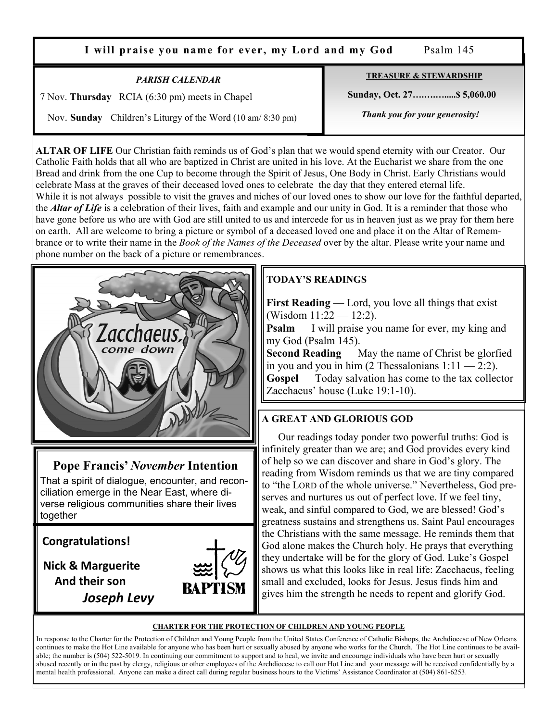**I will praise you name for ever, my Lord and my God** Psalm 145

*PARISH CALENDAR* 

7 Nov. **Thursday** RCIA (6:30 pm) meets in Chapel

Nov. **Sunday** Children's Liturgy of the Word (10 am/ 8:30 pm)

**TREASURE & STEWARDSHIP**

 **Sunday, Oct. 27….….….....\$ 5,060.00** 

 *Thank you for your generosity!* 

**ALTAR OF LIFE** Our Christian faith reminds us of God's plan that we would spend eternity with our Creator. Our Catholic Faith holds that all who are baptized in Christ are united in his love. At the Eucharist we share from the one Bread and drink from the one Cup to become through the Spirit of Jesus, One Body in Christ. Early Christians would celebrate Mass at the graves of their deceased loved ones to celebrate the day that they entered eternal life. While it is not always possible to visit the graves and niches of our loved ones to show our love for the faithful departed, the *Altar of Life* is a celebration of their lives, faith and example and our unity in God. It is a reminder that those who have gone before us who are with God are still united to us and intercede for us in heaven just as we pray for them here on earth. All are welcome to bring a picture or symbol of a deceased loved one and place it on the Altar of Remembrance or to write their name in the *Book of the Names of the Deceased* over by the altar. Please write your name and phone number on the back of a picture or remembrances.



**Pope Francis'** *November* **Intention** 

That a spirit of dialogue, encounter, and reconciliation emerge in the Near East, where diverse religious communities share their lives together

**Congratulations!** 

 **Nick & Marguerite And their son** *Joseph Levy*



# **TODAY'S READINGS**

**First Reading** — Lord, you love all things that exist (Wisdom 11:22 — 12:2).

**Psalm** — I will praise you name for ever, my king and my God (Psalm 145).

**Second Reading** — May the name of Christ be glorfied in you and you in him  $(2 \text{ Thessalonians } 1:11 - 2:2)$ . **Gospel** — Today salvation has come to the tax collector Zacchaeus' house (Luke 19:1-10).

# **A GREAT AND GLORIOUS GOD**

 Our readings today ponder two powerful truths: God is infinitely greater than we are; and God provides every kind of help so we can discover and share in God's glory. The reading from Wisdom reminds us that we are tiny compared to "the LORD of the whole universe." Nevertheless, God preserves and nurtures us out of perfect love. If we feel tiny, weak, and sinful compared to God, we are blessed! God's greatness sustains and strengthens us. Saint Paul encourages the Christians with the same message. He reminds them that God alone makes the Church holy. He prays that everything they undertake will be for the glory of God. Luke's Gospel shows us what this looks like in real life: Zacchaeus, feeling small and excluded, looks for Jesus. Jesus finds him and gives him the strength he needs to repent and glorify God.

#### **CHARTER FOR THE PROTECTION OF CHILDREN AND YOUNG PEOPLE**

In response to the Charter for the Protection of Children and Young People from the United States Conference of Catholic Bishops, the Archdiocese of New Orleans continues to make the Hot Line available for anyone who has been hurt or sexually abused by anyone who works for the Church. The Hot Line continues to be available; the number is (504) 522-5019. In continuing our commitment to support and to heal, we invite and encourage individuals who have been hurt or sexually abused recently or in the past by clergy, religious or other employees of the Archdiocese to call our Hot Line and your message will be received confidentially by a mental health professional. Anyone can make a direct call during regular business hours to the Victims' Assistance Coordinator at (504) 861-6253.